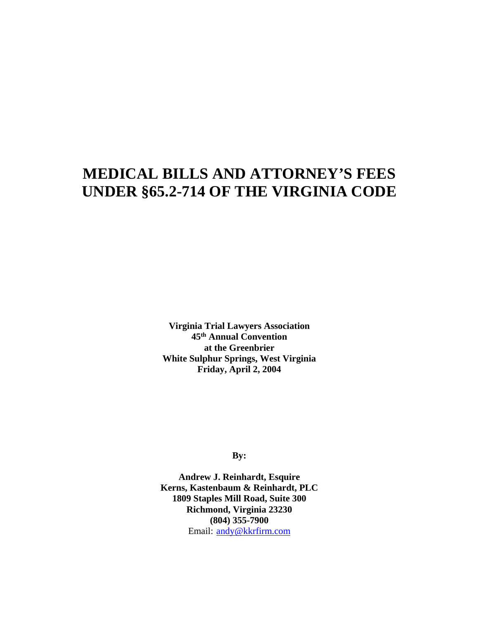# **MEDICAL BILLS AND ATTORNEY'S FEES UNDER §65.2-714 OF THE VIRGINIA CODE**

**Virginia Trial Lawyers Association 45th Annual Convention at the Greenbrier White Sulphur Springs, West Virginia Friday, April 2, 2004** 

**By:** 

**Andrew J. Reinhardt, Esquire Kerns, Kastenbaum & Reinhardt, PLC 1809 Staples Mill Road, Suite 300 Richmond, Virginia 23230 (804) 355-7900**  Email: andy@kkrfirm.com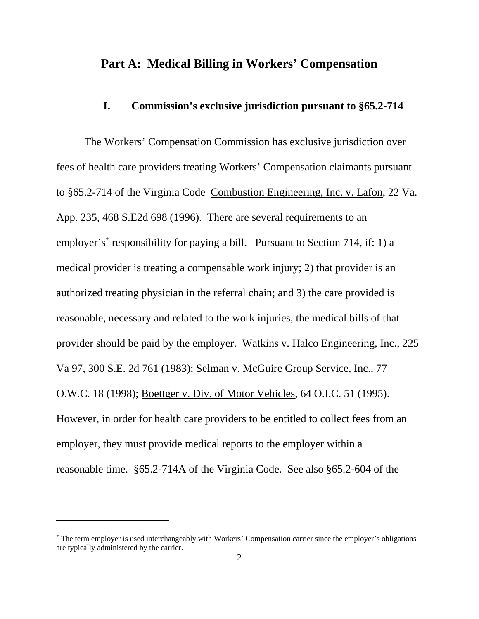# **Part A: Medical Billing in Workers' Compensation**

#### **I. Commission's exclusive jurisdiction pursuant to §65.2-714**

The Workers' Compensation Commission has exclusive jurisdiction over fees of health care providers treating Workers' Compensation claimants pursuant to §65.2-714 of the Virginia Code Combustion Engineering, Inc. v. Lafon, 22 Va. App. 235, 468 S.E2d 698 (1996). There are several requirements to an employer's<sup>\*</sup> responsibility for paying a bill. Pursuant to Section 714, if: 1) a medical provider is treating a compensable work injury; 2) that provider is an authorized treating physician in the referral chain; and 3) the care provided is reasonable, necessary and related to the work injuries, the medical bills of that provider should be paid by the employer. Watkins v. Halco Engineering, Inc., 225 Va 97, 300 S.E. 2d 761 (1983); Selman v. McGuire Group Service, Inc., 77 O.W.C. 18 (1998); Boettger v. Div. of Motor Vehicles, 64 O.I.C. 51 (1995). However, in order for health care providers to be entitled to collect fees from an employer, they must provide medical reports to the employer within a reasonable time. §65.2-714A of the Virginia Code. See also §65.2-604 of the

 $\overline{a}$ 

<sup>\*</sup> The term employer is used interchangeably with Workers' Compensation carrier since the employer's obligations are typically administered by the carrier.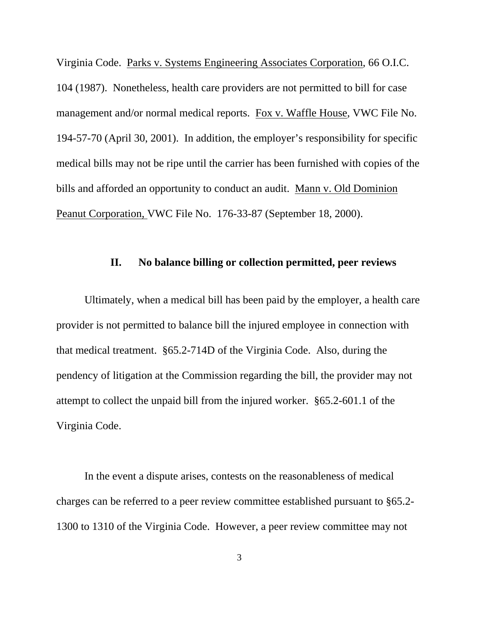Virginia Code. Parks v. Systems Engineering Associates Corporation, 66 O.I.C. 104 (1987). Nonetheless, health care providers are not permitted to bill for case management and/or normal medical reports. Fox v. Waffle House, VWC File No. 194-57-70 (April 30, 2001). In addition, the employer's responsibility for specific medical bills may not be ripe until the carrier has been furnished with copies of the bills and afforded an opportunity to conduct an audit. Mann v. Old Dominion Peanut Corporation, VWC File No. 176-33-87 (September 18, 2000).

#### **II. No balance billing or collection permitted, peer reviews**

 Ultimately, when a medical bill has been paid by the employer, a health care provider is not permitted to balance bill the injured employee in connection with that medical treatment. §65.2-714D of the Virginia Code. Also, during the pendency of litigation at the Commission regarding the bill, the provider may not attempt to collect the unpaid bill from the injured worker. §65.2-601.1 of the Virginia Code.

 In the event a dispute arises, contests on the reasonableness of medical charges can be referred to a peer review committee established pursuant to §65.2- 1300 to 1310 of the Virginia Code. However, a peer review committee may not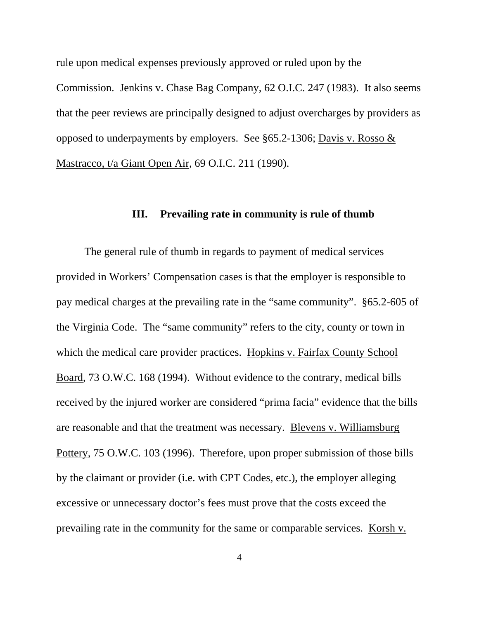rule upon medical expenses previously approved or ruled upon by the Commission. Jenkins v. Chase Bag Company, 62 O.I.C. 247 (1983). It also seems that the peer reviews are principally designed to adjust overcharges by providers as opposed to underpayments by employers. See §65.2-1306; Davis v. Rosso & Mastracco, t/a Giant Open Air, 69 O.I.C. 211 (1990).

#### **III. Prevailing rate in community is rule of thumb**

 The general rule of thumb in regards to payment of medical services provided in Workers' Compensation cases is that the employer is responsible to pay medical charges at the prevailing rate in the "same community". §65.2-605 of the Virginia Code. The "same community" refers to the city, county or town in which the medical care provider practices. Hopkins v. Fairfax County School Board, 73 O.W.C. 168 (1994). Without evidence to the contrary, medical bills received by the injured worker are considered "prima facia" evidence that the bills are reasonable and that the treatment was necessary. Blevens v. Williamsburg Pottery, 75 O.W.C. 103 (1996). Therefore, upon proper submission of those bills by the claimant or provider (i.e. with CPT Codes, etc.), the employer alleging excessive or unnecessary doctor's fees must prove that the costs exceed the prevailing rate in the community for the same or comparable services. Korsh v.

4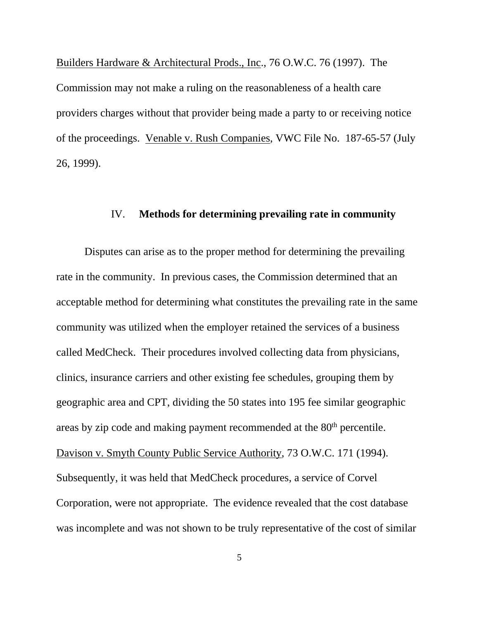Builders Hardware & Architectural Prods., Inc., 76 O.W.C. 76 (1997). The Commission may not make a ruling on the reasonableness of a health care providers charges without that provider being made a party to or receiving notice of the proceedings. Venable v. Rush Companies, VWC File No. 187-65-57 (July 26, 1999).

## IV. **Methods for determining prevailing rate in community**

 Disputes can arise as to the proper method for determining the prevailing rate in the community. In previous cases, the Commission determined that an acceptable method for determining what constitutes the prevailing rate in the same community was utilized when the employer retained the services of a business called MedCheck. Their procedures involved collecting data from physicians, clinics, insurance carriers and other existing fee schedules, grouping them by geographic area and CPT, dividing the 50 states into 195 fee similar geographic areas by zip code and making payment recommended at the 80<sup>th</sup> percentile. Davison v. Smyth County Public Service Authority, 73 O.W.C. 171 (1994). Subsequently, it was held that MedCheck procedures, a service of Corvel Corporation, were not appropriate. The evidence revealed that the cost database was incomplete and was not shown to be truly representative of the cost of similar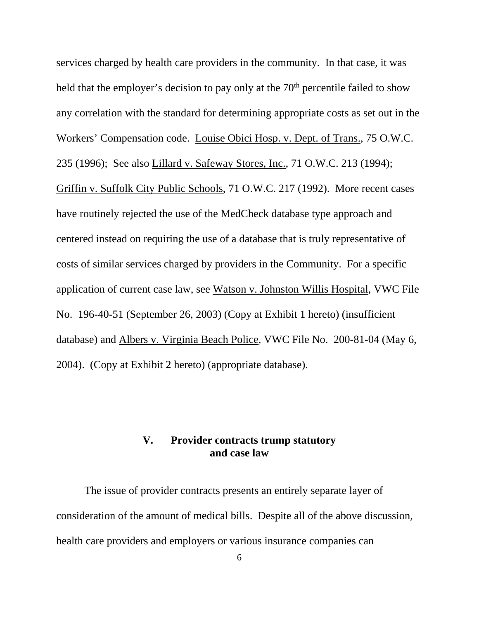services charged by health care providers in the community. In that case, it was held that the employer's decision to pay only at the 70<sup>th</sup> percentile failed to show any correlation with the standard for determining appropriate costs as set out in the Workers' Compensation code. Louise Obici Hosp. v. Dept. of Trans., 75 O.W.C. 235 (1996); See also Lillard v. Safeway Stores, Inc., 71 O.W.C. 213 (1994); Griffin v. Suffolk City Public Schools, 71 O.W.C. 217 (1992). More recent cases have routinely rejected the use of the MedCheck database type approach and centered instead on requiring the use of a database that is truly representative of costs of similar services charged by providers in the Community. For a specific application of current case law, see Watson v. Johnston Willis Hospital, VWC File No. 196-40-51 (September 26, 2003) (Copy at Exhibit 1 hereto) (insufficient database) and Albers v. Virginia Beach Police, VWC File No. 200-81-04 (May 6, 2004). (Copy at Exhibit 2 hereto) (appropriate database).

# **V. Provider contracts trump statutory and case law**

The issue of provider contracts presents an entirely separate layer of consideration of the amount of medical bills. Despite all of the above discussion, health care providers and employers or various insurance companies can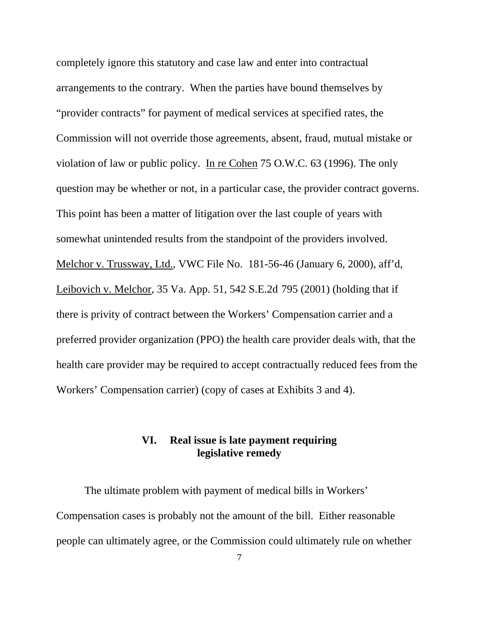completely ignore this statutory and case law and enter into contractual arrangements to the contrary. When the parties have bound themselves by "provider contracts" for payment of medical services at specified rates, the Commission will not override those agreements, absent, fraud, mutual mistake or violation of law or public policy. In re Cohen 75 O.W.C. 63 (1996). The only question may be whether or not, in a particular case, the provider contract governs. This point has been a matter of litigation over the last couple of years with somewhat unintended results from the standpoint of the providers involved. Melchor v. Trussway, Ltd., VWC File No. 181-56-46 (January 6, 2000), aff'd, Leibovich v. Melchor, 35 Va. App. 51, 542 S.E.2d 795 (2001) (holding that if there is privity of contract between the Workers' Compensation carrier and a preferred provider organization (PPO) the health care provider deals with, that the health care provider may be required to accept contractually reduced fees from the Workers' Compensation carrier) (copy of cases at Exhibits 3 and 4).

# **VI. Real issue is late payment requiring legislative remedy**

 The ultimate problem with payment of medical bills in Workers' Compensation cases is probably not the amount of the bill. Either reasonable people can ultimately agree, or the Commission could ultimately rule on whether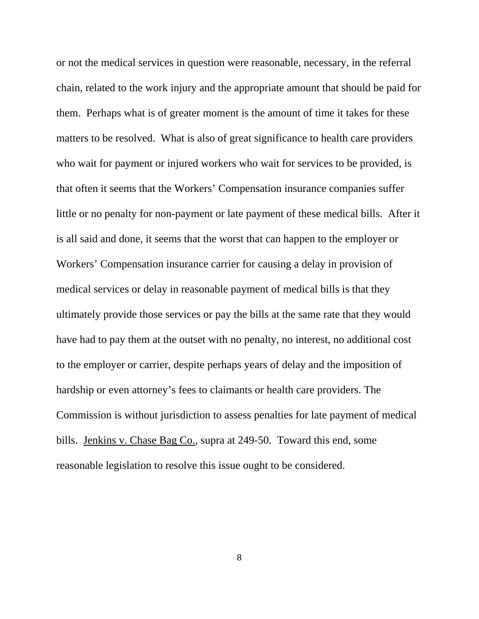or not the medical services in question were reasonable, necessary, in the referral chain, related to the work injury and the appropriate amount that should be paid for them. Perhaps what is of greater moment is the amount of time it takes for these matters to be resolved. What is also of great significance to health care providers who wait for payment or injured workers who wait for services to be provided, is that often it seems that the Workers' Compensation insurance companies suffer little or no penalty for non-payment or late payment of these medical bills. After it is all said and done, it seems that the worst that can happen to the employer or Workers' Compensation insurance carrier for causing a delay in provision of medical services or delay in reasonable payment of medical bills is that they ultimately provide those services or pay the bills at the same rate that they would have had to pay them at the outset with no penalty, no interest, no additional cost to the employer or carrier, despite perhaps years of delay and the imposition of hardship or even attorney's fees to claimants or health care providers. The Commission is without jurisdiction to assess penalties for late payment of medical bills. Jenkins v. Chase Bag Co., supra at 249-50. Toward this end, some reasonable legislation to resolve this issue ought to be considered.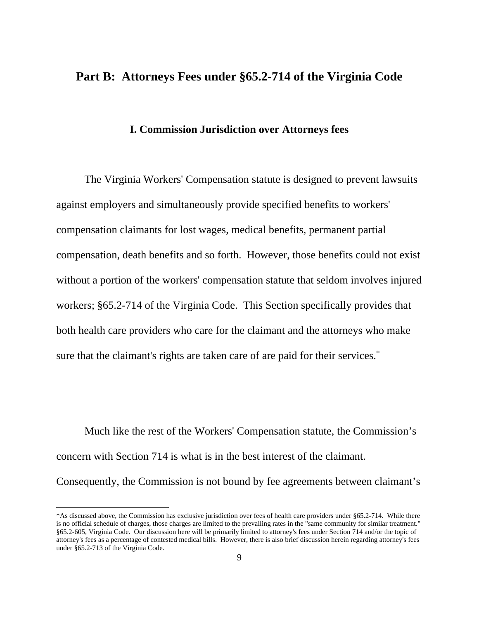# **Part B: Attorneys Fees under §65.2-714 of the Virginia Code**

#### **I. Commission Jurisdiction over Attorneys fees**

The Virginia Workers' Compensation statute is designed to prevent lawsuits against employers and simultaneously provide specified benefits to workers' compensation claimants for lost wages, medical benefits, permanent partial compensation, death benefits and so forth. However, those benefits could not exist without a portion of the workers' compensation statute that seldom involves injured workers; §65.2-714 of the Virginia Code. This Section specifically provides that both health care providers who care for the claimant and the attorneys who make sure that the claimant's rights are taken care of are paid for their services.<sup>\*</sup>

Much like the rest of the Workers' Compensation statute, the Commission's concern with Section 714 is what is in the best interest of the claimant. Consequently, the Commission is not bound by fee agreements between claimant's

 $\overline{a}$ 

<sup>\*</sup>As discussed above, the Commission has exclusive jurisdiction over fees of health care providers under §65.2-714. While there is no official schedule of charges, those charges are limited to the prevailing rates in the "same community for similar treatment." §65.2-605, Virginia Code. Our discussion here will be primarily limited to attorney's fees under Section 714 and/or the topic of attorney's fees as a percentage of contested medical bills. However, there is also brief discussion herein regarding attorney's fees under §65.2-713 of the Virginia Code.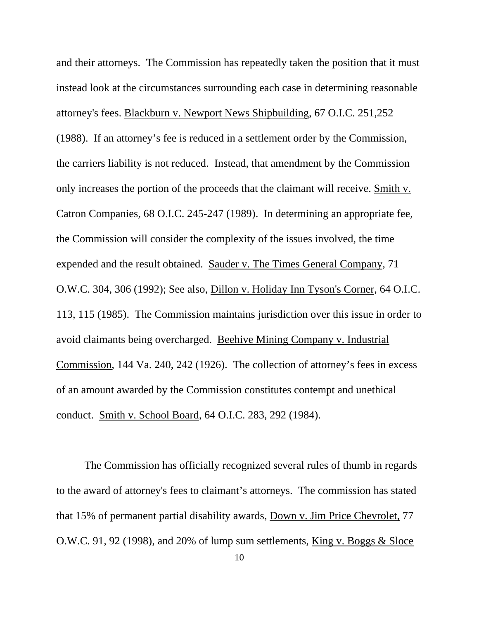and their attorneys. The Commission has repeatedly taken the position that it must instead look at the circumstances surrounding each case in determining reasonable attorney's fees. Blackburn v. Newport News Shipbuilding, 67 O.I.C. 251,252 (1988). If an attorney's fee is reduced in a settlement order by the Commission, the carriers liability is not reduced. Instead, that amendment by the Commission only increases the portion of the proceeds that the claimant will receive. Smith v. Catron Companies, 68 O.I.C. 245-247 (1989). In determining an appropriate fee, the Commission will consider the complexity of the issues involved, the time expended and the result obtained. Sauder v. The Times General Company, 71 O.W.C. 304, 306 (1992); See also, Dillon v. Holiday Inn Tyson's Corner, 64 O.I.C. 113, 115 (1985). The Commission maintains jurisdiction over this issue in order to avoid claimants being overcharged. Beehive Mining Company v. Industrial Commission, 144 Va. 240, 242 (1926). The collection of attorney's fees in excess of an amount awarded by the Commission constitutes contempt and unethical conduct. Smith v. School Board, 64 O.I.C. 283, 292 (1984).

The Commission has officially recognized several rules of thumb in regards to the award of attorney's fees to claimant's attorneys. The commission has stated that 15% of permanent partial disability awards, Down v. Jim Price Chevrolet, 77 O.W.C. 91, 92 (1998), and 20% of lump sum settlements, King v. Boggs & Sloce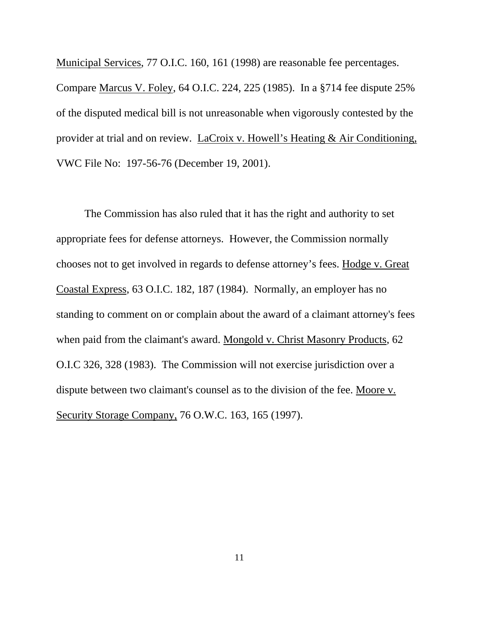Municipal Services, 77 O.I.C. 160, 161 (1998) are reasonable fee percentages. Compare Marcus V. Foley, 64 O.I.C. 224, 225 (1985). In a §714 fee dispute 25% of the disputed medical bill is not unreasonable when vigorously contested by the provider at trial and on review. LaCroix v. Howell's Heating & Air Conditioning, VWC File No: 197-56-76 (December 19, 2001).

The Commission has also ruled that it has the right and authority to set appropriate fees for defense attorneys. However, the Commission normally chooses not to get involved in regards to defense attorney's fees. Hodge v. Great Coastal Express, 63 O.I.C. 182, 187 (1984). Normally, an employer has no standing to comment on or complain about the award of a claimant attorney's fees when paid from the claimant's award. Mongold v. Christ Masonry Products, 62 O.I.C 326, 328 (1983). The Commission will not exercise jurisdiction over a dispute between two claimant's counsel as to the division of the fee. Moore v. Security Storage Company, 76 O.W.C. 163, 165 (1997).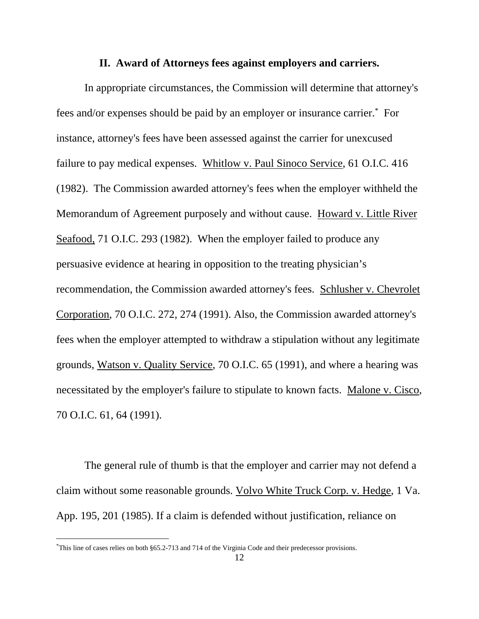#### **II. Award of Attorneys fees against employers and carriers.**

 In appropriate circumstances, the Commission will determine that attorney's fees and/or expenses should be paid by an employer or insurance carrier.\* For instance, attorney's fees have been assessed against the carrier for unexcused failure to pay medical expenses. Whitlow v. Paul Sinoco Service, 61 O.I.C. 416 (1982). The Commission awarded attorney's fees when the employer withheld the Memorandum of Agreement purposely and without cause. Howard v. Little River Seafood, 71 O.I.C. 293 (1982). When the employer failed to produce any persuasive evidence at hearing in opposition to the treating physician's recommendation, the Commission awarded attorney's fees. Schlusher v. Chevrolet Corporation, 70 O.I.C. 272, 274 (1991). Also, the Commission awarded attorney's fees when the employer attempted to withdraw a stipulation without any legitimate grounds, Watson v. Quality Service, 70 O.I.C. 65 (1991), and where a hearing was necessitated by the employer's failure to stipulate to known facts. Malone v. Cisco, 70 O.I.C. 61, 64 (1991).

The general rule of thumb is that the employer and carrier may not defend a claim without some reasonable grounds. Volvo White Truck Corp. v. Hedge, 1 Va. App. 195, 201 (1985). If a claim is defended without justification, reliance on

 $\overline{a}$ 

<sup>\*</sup> This line of cases relies on both §65.2-713 and 714 of the Virginia Code and their predecessor provisions.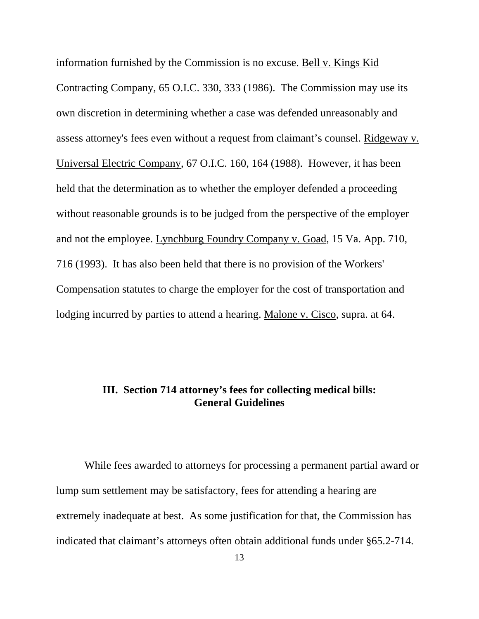information furnished by the Commission is no excuse. Bell v. Kings Kid Contracting Company, 65 O.I.C. 330, 333 (1986). The Commission may use its own discretion in determining whether a case was defended unreasonably and assess attorney's fees even without a request from claimant's counsel. Ridgeway v. Universal Electric Company, 67 O.I.C. 160, 164 (1988). However, it has been held that the determination as to whether the employer defended a proceeding without reasonable grounds is to be judged from the perspective of the employer and not the employee. Lynchburg Foundry Company v. Goad, 15 Va. App. 710, 716 (1993). It has also been held that there is no provision of the Workers' Compensation statutes to charge the employer for the cost of transportation and lodging incurred by parties to attend a hearing. Malone v. Cisco, supra. at 64.

# **III. Section 714 attorney's fees for collecting medical bills: General Guidelines**

While fees awarded to attorneys for processing a permanent partial award or lump sum settlement may be satisfactory, fees for attending a hearing are extremely inadequate at best. As some justification for that, the Commission has indicated that claimant's attorneys often obtain additional funds under §65.2-714.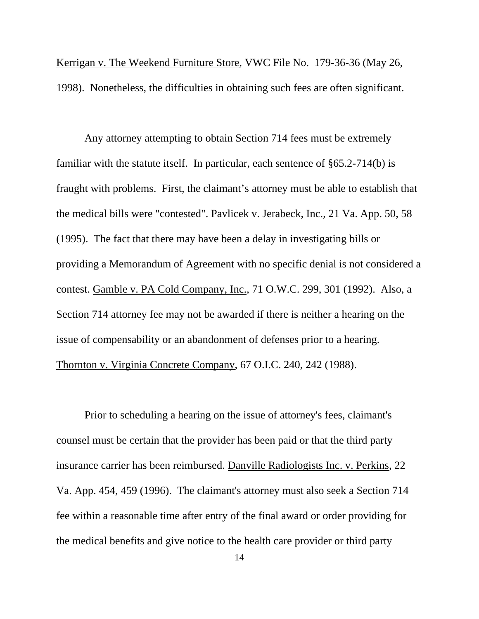Kerrigan v. The Weekend Furniture Store, VWC File No. 179-36-36 (May 26, 1998). Nonetheless, the difficulties in obtaining such fees are often significant.

 Any attorney attempting to obtain Section 714 fees must be extremely familiar with the statute itself. In particular, each sentence of §65.2-714(b) is fraught with problems. First, the claimant's attorney must be able to establish that the medical bills were "contested". Pavlicek v. Jerabeck, Inc., 21 Va. App. 50, 58 (1995). The fact that there may have been a delay in investigating bills or providing a Memorandum of Agreement with no specific denial is not considered a contest. Gamble v. PA Cold Company, Inc., 71 O.W.C. 299, 301 (1992). Also, a Section 714 attorney fee may not be awarded if there is neither a hearing on the issue of compensability or an abandonment of defenses prior to a hearing. Thornton v. Virginia Concrete Company, 67 O.I.C. 240, 242 (1988).

Prior to scheduling a hearing on the issue of attorney's fees, claimant's counsel must be certain that the provider has been paid or that the third party insurance carrier has been reimbursed. Danville Radiologists Inc. v. Perkins, 22 Va. App. 454, 459 (1996). The claimant's attorney must also seek a Section 714 fee within a reasonable time after entry of the final award or order providing for the medical benefits and give notice to the health care provider or third party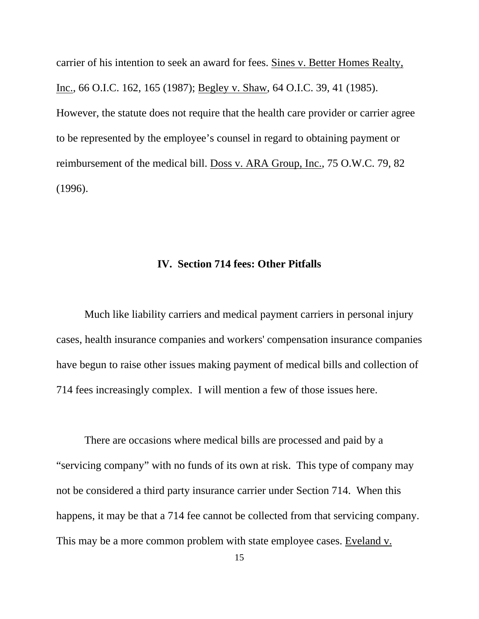carrier of his intention to seek an award for fees. Sines v. Better Homes Realty, Inc., 66 O.I.C. 162, 165 (1987); Begley v. Shaw, 64 O.I.C. 39, 41 (1985). However, the statute does not require that the health care provider or carrier agree to be represented by the employee's counsel in regard to obtaining payment or reimbursement of the medical bill. Doss v. ARA Group, Inc., 75 O.W.C. 79, 82 (1996).

#### **IV. Section 714 fees: Other Pitfalls**

Much like liability carriers and medical payment carriers in personal injury cases, health insurance companies and workers' compensation insurance companies have begun to raise other issues making payment of medical bills and collection of 714 fees increasingly complex. I will mention a few of those issues here.

 There are occasions where medical bills are processed and paid by a "servicing company" with no funds of its own at risk. This type of company may not be considered a third party insurance carrier under Section 714. When this happens, it may be that a 714 fee cannot be collected from that servicing company. This may be a more common problem with state employee cases. Eveland v.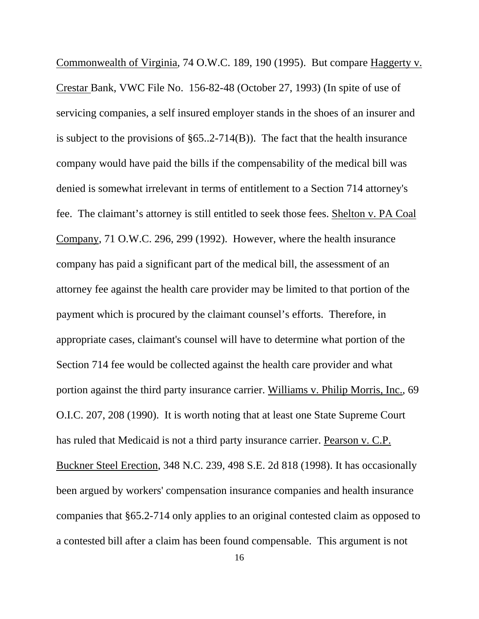Commonwealth of Virginia, 74 O.W.C. 189, 190 (1995). But compare Haggerty v. Crestar Bank, VWC File No. 156-82-48 (October 27, 1993) (In spite of use of servicing companies, a self insured employer stands in the shoes of an insurer and is subject to the provisions of §65..2-714(B)). The fact that the health insurance company would have paid the bills if the compensability of the medical bill was denied is somewhat irrelevant in terms of entitlement to a Section 714 attorney's fee. The claimant's attorney is still entitled to seek those fees. Shelton v. PA Coal Company, 71 O.W.C. 296, 299 (1992). However, where the health insurance company has paid a significant part of the medical bill, the assessment of an attorney fee against the health care provider may be limited to that portion of the payment which is procured by the claimant counsel's efforts. Therefore, in appropriate cases, claimant's counsel will have to determine what portion of the Section 714 fee would be collected against the health care provider and what portion against the third party insurance carrier. Williams v. Philip Morris, Inc., 69 O.I.C. 207, 208 (1990). It is worth noting that at least one State Supreme Court has ruled that Medicaid is not a third party insurance carrier. Pearson v. C.P. Buckner Steel Erection, 348 N.C. 239, 498 S.E. 2d 818 (1998). It has occasionally been argued by workers' compensation insurance companies and health insurance companies that §65.2-714 only applies to an original contested claim as opposed to a contested bill after a claim has been found compensable. This argument is not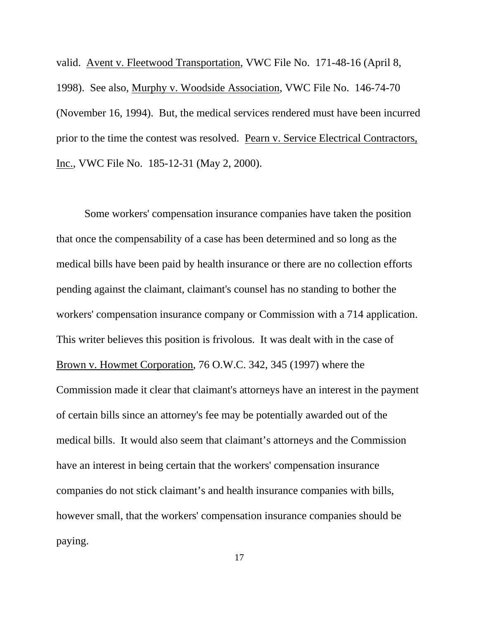valid. Avent v. Fleetwood Transportation, VWC File No. 171-48-16 (April 8, 1998). See also, Murphy v. Woodside Association, VWC File No. 146-74-70 (November 16, 1994). But, the medical services rendered must have been incurred prior to the time the contest was resolved. Pearn v. Service Electrical Contractors, Inc., VWC File No. 185-12-31 (May 2, 2000).

Some workers' compensation insurance companies have taken the position that once the compensability of a case has been determined and so long as the medical bills have been paid by health insurance or there are no collection efforts pending against the claimant, claimant's counsel has no standing to bother the workers' compensation insurance company or Commission with a 714 application. This writer believes this position is frivolous. It was dealt with in the case of Brown v. Howmet Corporation, 76 O.W.C. 342, 345 (1997) where the Commission made it clear that claimant's attorneys have an interest in the payment of certain bills since an attorney's fee may be potentially awarded out of the medical bills. It would also seem that claimant's attorneys and the Commission have an interest in being certain that the workers' compensation insurance companies do not stick claimant's and health insurance companies with bills, however small, that the workers' compensation insurance companies should be paying.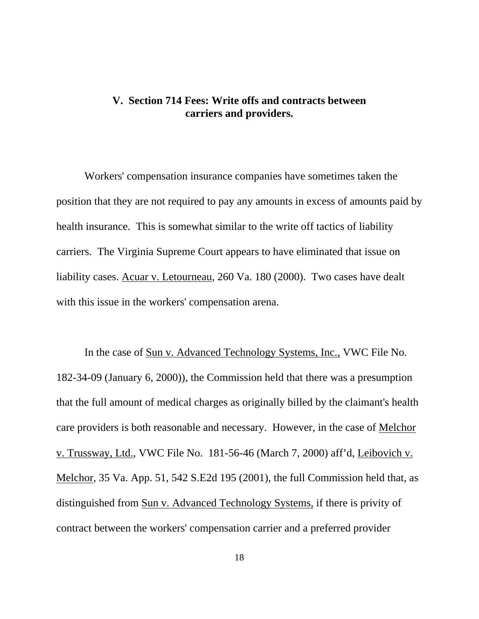# **V. Section 714 Fees: Write offs and contracts between carriers and providers.**

Workers' compensation insurance companies have sometimes taken the position that they are not required to pay any amounts in excess of amounts paid by health insurance. This is somewhat similar to the write off tactics of liability carriers. The Virginia Supreme Court appears to have eliminated that issue on liability cases. Acuar v. Letourneau, 260 Va. 180 (2000). Two cases have dealt with this issue in the workers' compensation arena.

In the case of Sun v. Advanced Technology Systems, Inc., VWC File No. 182-34-09 (January 6, 2000)), the Commission held that there was a presumption that the full amount of medical charges as originally billed by the claimant's health care providers is both reasonable and necessary. However, in the case of Melchor v. Trussway, Ltd., VWC File No. 181-56-46 (March 7, 2000) aff'd, Leibovich v. Melchor, 35 Va. App. 51, 542 S.E2d 195 (2001), the full Commission held that, as distinguished from Sun v. Advanced Technology Systems, if there is privity of contract between the workers' compensation carrier and a preferred provider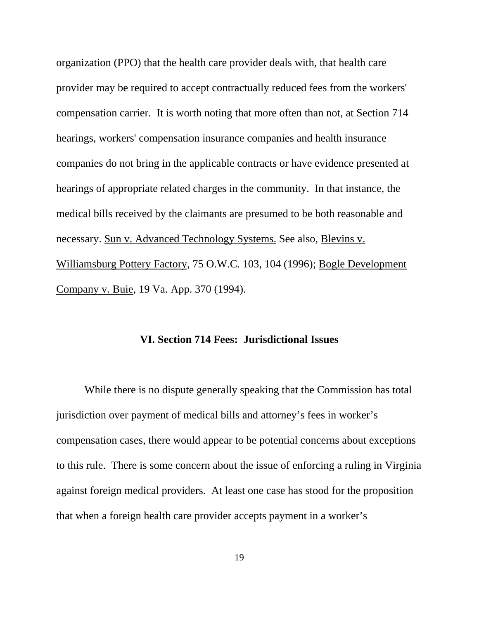organization (PPO) that the health care provider deals with, that health care provider may be required to accept contractually reduced fees from the workers' compensation carrier. It is worth noting that more often than not, at Section 714 hearings, workers' compensation insurance companies and health insurance companies do not bring in the applicable contracts or have evidence presented at hearings of appropriate related charges in the community. In that instance, the medical bills received by the claimants are presumed to be both reasonable and necessary. Sun v. Advanced Technology Systems. See also, Blevins v. Williamsburg Pottery Factory, 75 O.W.C. 103, 104 (1996); Bogle Development Company v. Buie, 19 Va. App. 370 (1994).

#### **VI. Section 714 Fees: Jurisdictional Issues**

While there is no dispute generally speaking that the Commission has total jurisdiction over payment of medical bills and attorney's fees in worker's compensation cases, there would appear to be potential concerns about exceptions to this rule. There is some concern about the issue of enforcing a ruling in Virginia against foreign medical providers. At least one case has stood for the proposition that when a foreign health care provider accepts payment in a worker's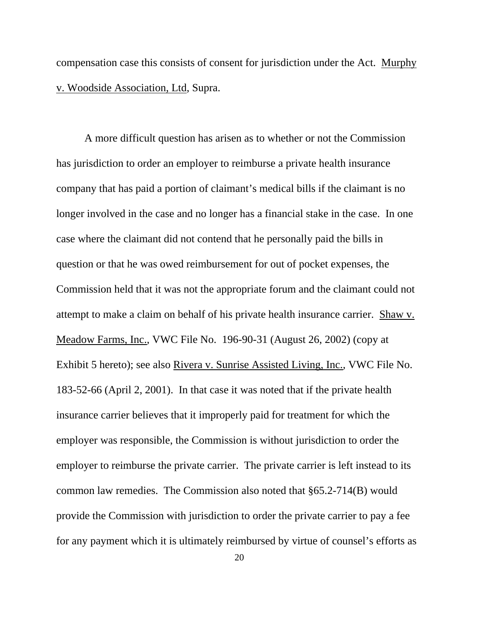compensation case this consists of consent for jurisdiction under the Act. Murphy v. Woodside Association, Ltd, Supra.

 A more difficult question has arisen as to whether or not the Commission has jurisdiction to order an employer to reimburse a private health insurance company that has paid a portion of claimant's medical bills if the claimant is no longer involved in the case and no longer has a financial stake in the case. In one case where the claimant did not contend that he personally paid the bills in question or that he was owed reimbursement for out of pocket expenses, the Commission held that it was not the appropriate forum and the claimant could not attempt to make a claim on behalf of his private health insurance carrier. Shaw v. Meadow Farms, Inc., VWC File No. 196-90-31 (August 26, 2002) (copy at Exhibit 5 hereto); see also Rivera v. Sunrise Assisted Living, Inc., VWC File No. 183-52-66 (April 2, 2001). In that case it was noted that if the private health insurance carrier believes that it improperly paid for treatment for which the employer was responsible, the Commission is without jurisdiction to order the employer to reimburse the private carrier. The private carrier is left instead to its common law remedies. The Commission also noted that §65.2-714(B) would provide the Commission with jurisdiction to order the private carrier to pay a fee for any payment which it is ultimately reimbursed by virtue of counsel's efforts as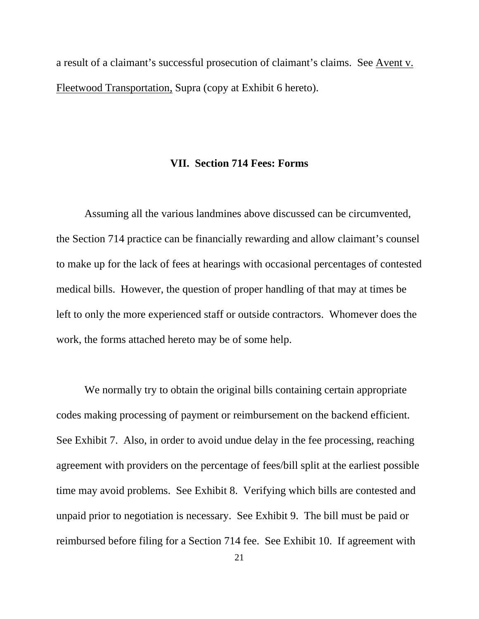a result of a claimant's successful prosecution of claimant's claims. See Avent v. Fleetwood Transportation, Supra (copy at Exhibit 6 hereto).

#### **VII. Section 714 Fees: Forms**

Assuming all the various landmines above discussed can be circumvented, the Section 714 practice can be financially rewarding and allow claimant's counsel to make up for the lack of fees at hearings with occasional percentages of contested medical bills. However, the question of proper handling of that may at times be left to only the more experienced staff or outside contractors. Whomever does the work, the forms attached hereto may be of some help.

We normally try to obtain the original bills containing certain appropriate codes making processing of payment or reimbursement on the backend efficient. See Exhibit 7. Also, in order to avoid undue delay in the fee processing, reaching agreement with providers on the percentage of fees/bill split at the earliest possible time may avoid problems. See Exhibit 8. Verifying which bills are contested and unpaid prior to negotiation is necessary. See Exhibit 9. The bill must be paid or reimbursed before filing for a Section 714 fee. See Exhibit 10. If agreement with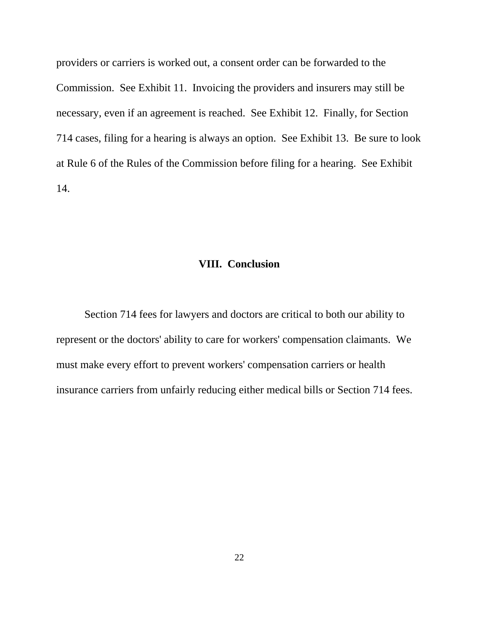providers or carriers is worked out, a consent order can be forwarded to the Commission. See Exhibit 11. Invoicing the providers and insurers may still be necessary, even if an agreement is reached. See Exhibit 12. Finally, for Section 714 cases, filing for a hearing is always an option. See Exhibit 13. Be sure to look at Rule 6 of the Rules of the Commission before filing for a hearing. See Exhibit 14.

# **VIII. Conclusion**

 Section 714 fees for lawyers and doctors are critical to both our ability to represent or the doctors' ability to care for workers' compensation claimants. We must make every effort to prevent workers' compensation carriers or health insurance carriers from unfairly reducing either medical bills or Section 714 fees.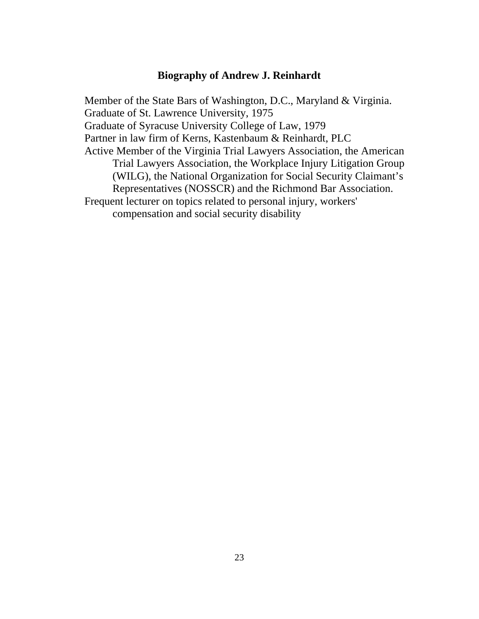## **Biography of Andrew J. Reinhardt**

 Member of the State Bars of Washington, D.C., Maryland & Virginia. Graduate of St. Lawrence University, 1975 Graduate of Syracuse University College of Law, 1979 Partner in law firm of Kerns, Kastenbaum & Reinhardt, PLC Active Member of the Virginia Trial Lawyers Association, the American Trial Lawyers Association, the Workplace Injury Litigation Group (WILG), the National Organization for Social Security Claimant's Representatives (NOSSCR) and the Richmond Bar Association. Frequent lecturer on topics related to personal injury, workers' compensation and social security disability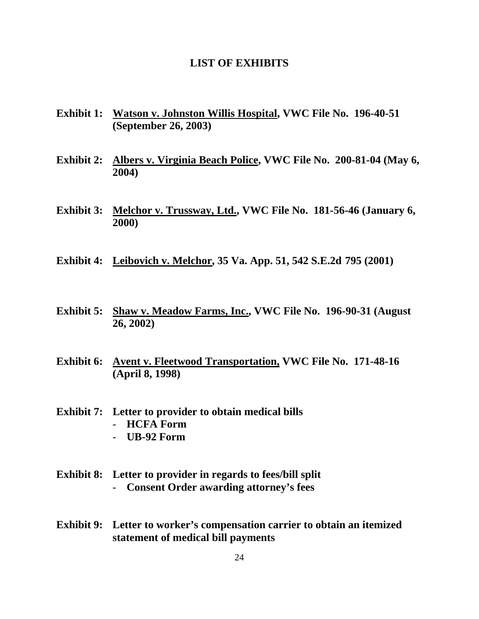#### **LIST OF EXHIBITS**

- **Exhibit 1: Watson v. Johnston Willis Hospital, VWC File No. 196-40-51 (September 26, 2003)**
- **Exhibit 2: Albers v. Virginia Beach Police, VWC File No. 200-81-04 (May 6, 2004)**
- **Exhibit 3: Melchor v. Trussway, Ltd., VWC File No. 181-56-46 (January 6, 2000)**
- **Exhibit 4: Leibovich v. Melchor, 35 Va. App. 51, 542 S.E.2d 795 (2001)**
- **Exhibit 5: Shaw v. Meadow Farms, Inc., VWC File No. 196-90-31 (August 26, 2002)**
- **Exhibit 6: Avent v. Fleetwood Transportation, VWC File No. 171-48-16 (April 8, 1998)**
- **Exhibit 7: Letter to provider to obtain medical bills**  - **HCFA Form** 
	- **UB-92 Form**
- **Exhibit 8: Letter to provider in regards to fees/bill split**  - **Consent Order awarding attorney's fees**
- **Exhibit 9: Letter to worker's compensation carrier to obtain an itemized statement of medical bill payments**